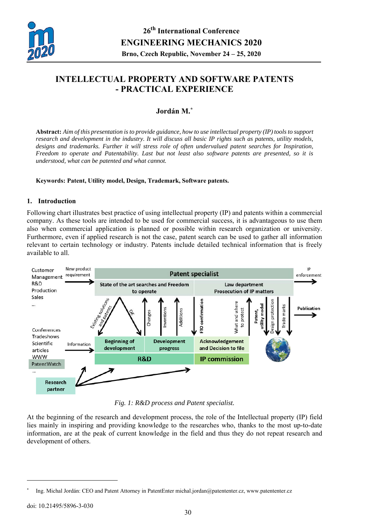

# **INTELLECTUAL PROPERTY AND SOFTWARE PATENTS - PRACTICAL EXPERIENCE**

# **Jordán M.\***

**Abstract:** *Aim of this presentation is to provide guidance, how to use intellectual property (IP) tools to support research and development in the industry. It will discuss all basic IP rights such as patents, utility models, designs and trademarks. Further it will stress role of often undervalued patent searches for Inspiration, Freedom to operate and Patentability. Last but not least also software patents are presented, so it is understood, what can be patented and what cannot.* 

**Keywords: Patent, Utility model, Design, Trademark, Software patents.** 

#### **1. Introduction**

Following chart illustrates best practice of using intellectual property (IP) and patents within a commercial company. As these tools are intended to be used for commercial success, it is advantageous to use them also when commercial application is planned or possible within research organization or university. Furthermore, even if applied research is not the case, patent search can be used to gather all information relevant to certain technology or industry. Patents include detailed technical information that is freely available to all.



*Fig. 1: R&D process and Patent specialist.* 

At the beginning of the research and development process, the role of the Intellectual property (IP) field lies mainly in inspiring and providing knowledge to the researches who, thanks to the most up-to-date information, are at the peak of current knowledge in the field and thus they do not repeat research and development of others.

 $\overline{a}$ 

Ing. Michal Jordán: CEO and Patent Attorney in PatentEnter michal.jordan@patententer.cz, www.patententer.cz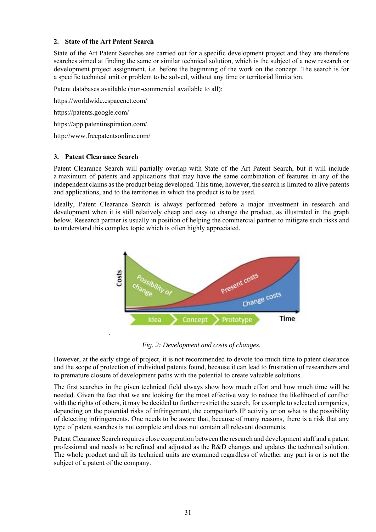### **2. State of the Art Patent Search**

State of the Art Patent Searches are carried out for a specific development project and they are therefore searches aimed at finding the same or similar technical solution, which is the subject of a new research or development project assignment, i.e. before the beginning of the work on the concept. The search is for a specific technical unit or problem to be solved, without any time or territorial limitation.

Patent databases available (non-commercial available to all):

https://worldwide.espacenet.com/

https://patents.google.com/

https://app.patentinspiration.com/

http://www.freepatentsonline.com/

# **3. Patent Clearance Search**

Patent Clearance Search will partially overlap with State of the Art Patent Search, but it will include a maximum of patents and applications that may have the same combination of features in any of the independent claims as the product being developed. This time, however, the search is limited to alive patents and applications, and to the territories in which the product is to be used.

Ideally, Patent Clearance Search is always performed before a major investment in research and development when it is still relatively cheap and easy to change the product, as illustrated in the graph below. Research partner is usually in position of helping the commercial partner to mitigate such risks and to understand this complex topic which is often highly appreciated.



*Fig. 2: Development and costs of changes.* 

However, at the early stage of project, it is not recommended to devote too much time to patent clearance and the scope of protection of individual patents found, because it can lead to frustration of researchers and to premature closure of development paths with the potential to create valuable solutions.

The first searches in the given technical field always show how much effort and how much time will be needed. Given the fact that we are looking for the most effective way to reduce the likelihood of conflict with the rights of others, it may be decided to further restrict the search, for example to selected companies, depending on the potential risks of infringement, the competitor's IP activity or on what is the possibility of detecting infringements. One needs to be aware that, because of many reasons, there is a risk that any type of patent searches is not complete and does not contain all relevant documents.

Patent Clearance Search requires close cooperation between the research and development staff and a patent professional and needs to be refined and adjusted as the R&D changes and updates the technical solution. The whole product and all its technical units are examined regardless of whether any part is or is not the subject of a patent of the company.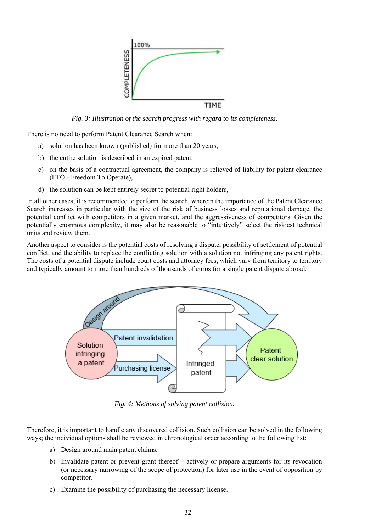

*Fig. 3: Illustration of the search progress with regard to its completeness.* 

There is no need to perform Patent Clearance Search when:

- a) solution has been known (published) for more than 20 years,
- b) the entire solution is described in an expired patent,
- c) on the basis of a contractual agreement, the company is relieved of liability for patent clearance (FTO - Freedom To Operate),
- d) the solution can be kept entirely secret to potential right holders,

In all other cases, it is recommended to perform the search, wherein the importance of the Patent Clearance Search increases in particular with the size of the risk of business losses and reputational damage, the potential conflict with competitors in a given market, and the aggressiveness of competitors. Given the potentially enormous complexity, it may also be reasonable to "intuitively" select the riskiest technical units and review them.

Another aspect to consider is the potential costs of resolving a dispute, possibility of settlement of potential conflict, and the ability to replace the conflicting solution with a solution not infringing any patent rights. The costs of a potential dispute include court costs and attorney fees, which vary from territory to territory and typically amount to more than hundreds of thousands of euros for a single patent dispute abroad.



*Fig. 4: Methods of solving patent collision.* 

Therefore, it is important to handle any discovered collision. Such collision can be solved in the following ways; the individual options shall be reviewed in chronological order according to the following list:

- a) Design around main patent claims.
- b) Invalidate patent or prevent grant thereof actively or prepare arguments for its revocation (or necessary narrowing of the scope of protection) for later use in the event of opposition by competitor.
- c) Examine the possibility of purchasing the necessary license.